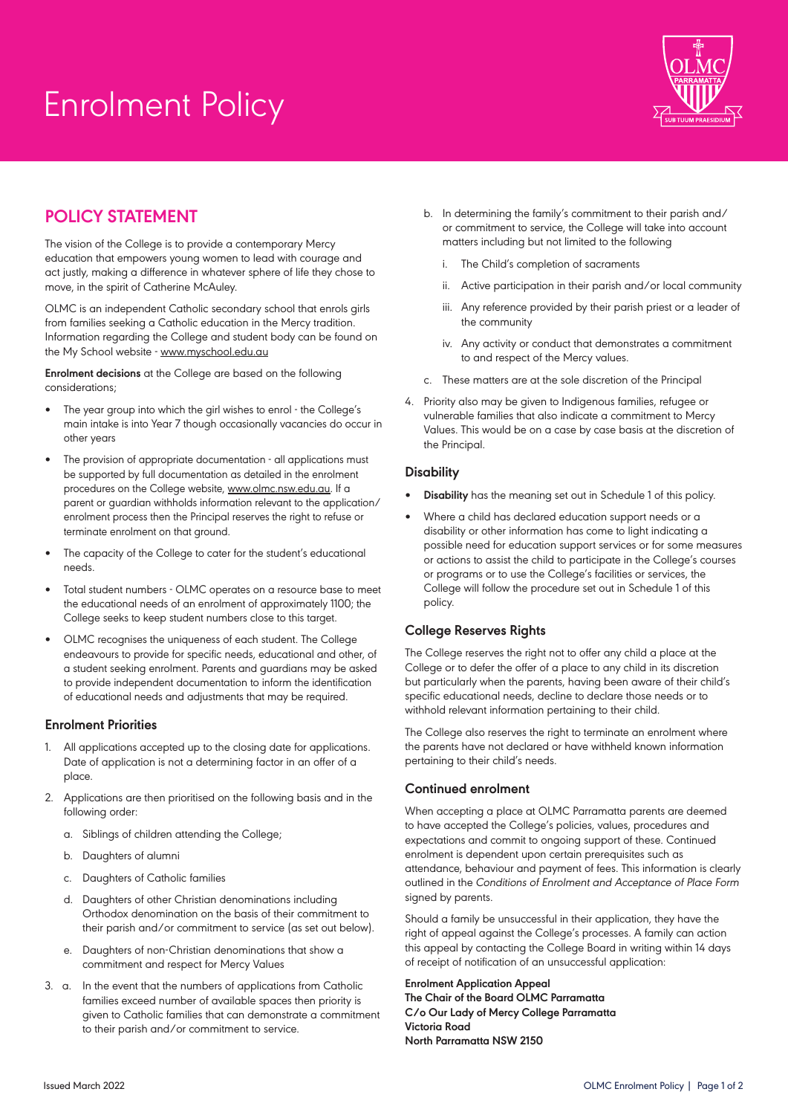# Enrolment Policy



## **Policy Statement**

The vision of the College is to provide a contemporary Mercy education that empowers young women to lead with courage and act justly, making a difference in whatever sphere of life they chose to move, in the spirit of Catherine McAuley.

OLMC is an independent Catholic secondary school that enrols girls from families seeking a Catholic education in the Mercy tradition. Information regarding the College and student body can be found on the My School website - www.myschool.edu.au

**Enrolment decisions** at the College are based on the following considerations;

- The year group into which the girl wishes to enrol the College's main intake is into Year 7 though occasionally vacancies do occur in other years
- The provision of appropriate documentation all applications must be supported by full documentation as detailed in the enrolment procedures on the College website, www.olmc.nsw.edu.au. If a parent or guardian withholds information relevant to the application/ enrolment process then the Principal reserves the right to refuse or terminate enrolment on that ground.
- The capacity of the College to cater for the student's educational needs.
- Total student numbers OLMC operates on a resource base to meet the educational needs of an enrolment of approximately 1100; the College seeks to keep student numbers close to this target.
- OLMC recognises the uniqueness of each student. The College endeavours to provide for specific needs, educational and other, of a student seeking enrolment. Parents and guardians may be asked to provide independent documentation to inform the identification of educational needs and adjustments that may be required.

#### **Enrolment Priorities**

- 1. All applications accepted up to the closing date for applications. Date of application is not a determining factor in an offer of a place.
- 2. Applications are then prioritised on the following basis and in the following order:
	- a. Siblings of children attending the College;
	- b. Daughters of alumni
	- c. Daughters of Catholic families
	- d. Daughters of other Christian denominations including Orthodox denomination on the basis of their commitment to their parish and/or commitment to service (as set out below).
	- e. Daughters of non-Christian denominations that show a commitment and respect for Mercy Values
- 3. a. In the event that the numbers of applications from Catholic families exceed number of available spaces then priority is given to Catholic families that can demonstrate a commitment to their parish and/or commitment to service.
- b. In determining the family's commitment to their parish and/ or commitment to service, the College will take into account matters including but not limited to the following
	- i. The Child's completion of sacraments
	- Active participation in their parish and/or local community
	- iii. Any reference provided by their parish priest or a leader of the community
	- iv. Any activity or conduct that demonstrates a commitment to and respect of the Mercy values.
- c. These matters are at the sole discretion of the Principal
- 4. Priority also may be given to Indigenous families, refugee or vulnerable families that also indicate a commitment to Mercy Values. This would be on a case by case basis at the discretion of the Principal.

#### **Disability**

- **Disability** has the meaning set out in Schedule 1 of this policy.
- Where a child has declared education support needs or a disability or other information has come to light indicating a possible need for education support services or for some measures or actions to assist the child to participate in the College's courses or programs or to use the College's facilities or services, the College will follow the procedure set out in Schedule 1 of this policy.

### **College Reserves Rights**

The College reserves the right not to offer any child a place at the College or to defer the offer of a place to any child in its discretion but particularly when the parents, having been aware of their child's specific educational needs, decline to declare those needs or to withhold relevant information pertaining to their child.

The College also reserves the right to terminate an enrolment where the parents have not declared or have withheld known information pertaining to their child's needs.

#### **Continued enrolment**

When accepting a place at OLMC Parramatta parents are deemed to have accepted the College's policies, values, procedures and expectations and commit to ongoing support of these. Continued enrolment is dependent upon certain prerequisites such as attendance, behaviour and payment of fees. This information is clearly outlined in the Conditions of Enrolment and Acceptance of Place Form signed by parents.

Should a family be unsuccessful in their application, they have the right of appeal against the College's processes. A family can action this appeal by contacting the College Board in writing within 14 days of receipt of notification of an unsuccessful application:

**Enrolment Application Appeal The Chair of the Board OLMC Parramatta C/o Our Lady of Mercy College Parramatta Victoria Road North Parramatta NSW 2150**